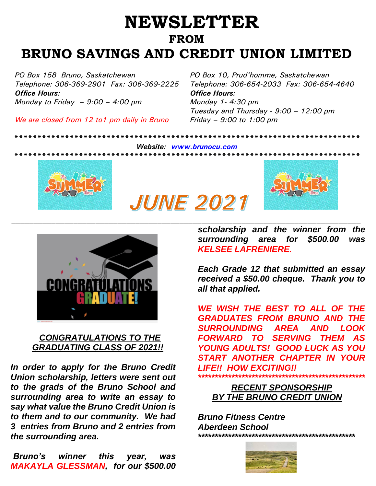## **NEWSLETTER FROM BRUNO SAVINGS AND CREDIT UNION LIMITED**

*PO Box 158 Bruno, Saskatchewan PO Box 10, Prud'homme, Saskatchewan Office Hours: Office Hours: Monday to Friday – 9:00 – 4:00 pm Monday 1- 4:30 pm*

*We are closed from 12 to1 pm daily in Bruno Friday – 9:00 to 1:00 pm*

*Telephone: 306-369-2901 Fax: 306-369-2225 Telephone: 306-654-2033 Fax: 306-654-4640 Tuesday and Thursday - 9:00 – 12:00 pm*

*Website: [www.brunocu.com](http://www.brunocu.com/)*

**JUNE 2021** 

*\*\*\*\*\*\*\*\*\*\*\*\*\*\*\*\*\*\*\*\*\*\*\*\*\*\*\*\*\*\*\*\*\*\*\*\*\*\*\*\*\*\*\*\*\*\*\*\*\*\*\*\*\*\*\*\*\*\*\*\*\*\*\*\*\*\*\*\*\*\*\*\*\*\*\**







## *CONGRATULATIONS TO THE GRADUATING CLASS OF 2021!!*

*In order to apply for the Bruno Credit Union scholarship, letters were sent out to the grads of the Bruno School and surrounding area to write an essay to say what value the Bruno Credit Union is to them and to our community. We had 3 entries from Bruno and 2 entries from the surrounding area.* 

*scholarship and the winner from the surrounding area for \$500.00 was KELSEE LAFRENIERE.*

*Each Grade 12 that submitted an essay received a \$50.00 cheque. Thank you to all that applied.*

*WE WISH THE BEST TO ALL OF THE GRADUATES FROM BRUNO AND THE SURROUNDING AREA AND LOOK FORWARD TO SERVING THEM AS YOUNG ADULTS! GOOD LUCK AS YOU START ANOTHER CHAPTER IN YOUR LIFE!! HOW EXCITING!! \*\*\*\*\*\*\*\*\*\*\*\*\*\*\*\*\*\*\*\*\*\*\*\*\*\*\*\*\*\*\*\*\*\*\*\*\*\*\*\*\*\*\*\*\*\*\*\*\*\**

 *RECENT SPONSORSHIP BY THE BRUNO CREDIT UNION* 

*Bruno Fitness Centre Aberdeen School \*\*\*\*\*\*\*\*\*\*\*\*\*\*\*\*\*\*\*\*\*\*\*\*\*\*\*\*\*\*\*\*\*\*\*\*\*\*\*\*\*\*\*\*\*\*\**



*Bruno's winner this year, was MAKAYLA GLESSMAN, for our \$500.00*